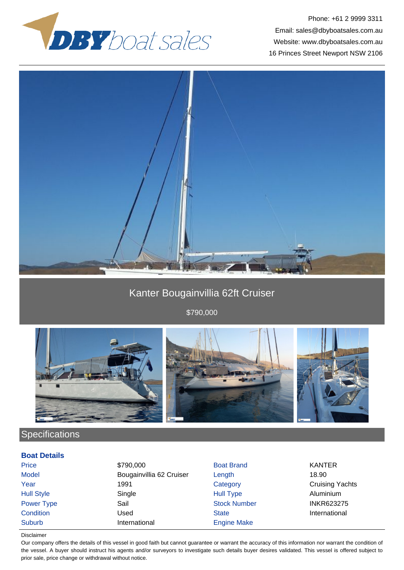



## Kanter Bougainvillia 62ft Cruiser

\$790,000



# **Specifications**

### **Boat Details**

| Price             | \$790,000                | <b>Boat Brand</b>   | <b>KANTER</b>          |
|-------------------|--------------------------|---------------------|------------------------|
| <b>Model</b>      | Bougainvillia 62 Cruiser | Length              | 18.90                  |
| Year              | 1991                     | Category            | <b>Cruising Yachts</b> |
| <b>Hull Style</b> | Single                   | <b>Hull Type</b>    | Aluminium              |
| Power Type        | Sail                     | <b>Stock Number</b> | <b>INKR623275</b>      |
| Condition         | Used                     | <b>State</b>        | International          |
| <b>Suburb</b>     | International            | <b>Engine Make</b>  |                        |

#### Disclaimer

Our company offers the details of this vessel in good faith but cannot guarantee or warrant the accuracy of this information nor warrant the condition of the vessel. A buyer should instruct his agents and/or surveyors to investigate such details buyer desires validated. This vessel is offered subject to prior sale, price change or withdrawal without notice.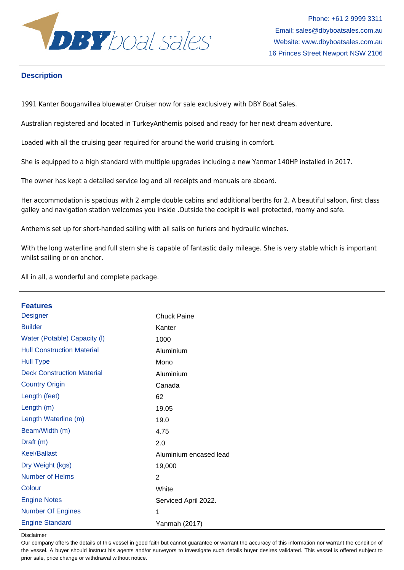

### **Description**

1991 Kanter Bouganvillea bluewater Cruiser now for sale exclusively with DBY Boat Sales.

Australian registered and located in TurkeyAnthemis poised and ready for her next dream adventure.

Loaded with all the cruising gear required for around the world cruising in comfort.

She is equipped to a high standard with multiple upgrades including a new Yanmar 140HP installed in 2017.

The owner has kept a detailed service log and all receipts and manuals are aboard.

Her accommodation is spacious with 2 ample double cabins and additional berths for 2. A beautiful saloon, first class galley and navigation station welcomes you inside .Outside the cockpit is well protected, roomy and safe.

Anthemis set up for short-handed sailing with all sails on furlers and hydraulic winches.

With the long waterline and full stern she is capable of fantastic daily mileage. She is very stable which is important whilst sailing or on anchor.

All in all, a wonderful and complete package.

| <b>Features</b>                   |                        |
|-----------------------------------|------------------------|
| <b>Designer</b>                   | <b>Chuck Paine</b>     |
| <b>Builder</b>                    | Kanter                 |
| Water (Potable) Capacity (I)      | 1000                   |
| <b>Hull Construction Material</b> | Aluminium              |
| <b>Hull Type</b>                  | Mono                   |
| <b>Deck Construction Material</b> | Aluminium              |
| <b>Country Origin</b>             | Canada                 |
| Length (feet)                     | 62                     |
| Length $(m)$                      | 19.05                  |
| Length Waterline (m)              | 19.0                   |
| Beam/Width (m)                    | 4.75                   |
| Draft (m)                         | 2.0                    |
| <b>Keel/Ballast</b>               | Aluminium encased lead |
| Dry Weight (kgs)                  | 19,000                 |
| <b>Number of Helms</b>            | $\overline{2}$         |
| Colour                            | White                  |
| <b>Engine Notes</b>               | Serviced April 2022.   |
| <b>Number Of Engines</b>          | 1                      |
| <b>Engine Standard</b>            | Yanmah (2017)          |

Disclaimer

Our company offers the details of this vessel in good faith but cannot guarantee or warrant the accuracy of this information nor warrant the condition of the vessel. A buyer should instruct his agents and/or surveyors to investigate such details buyer desires validated. This vessel is offered subject to prior sale, price change or withdrawal without notice.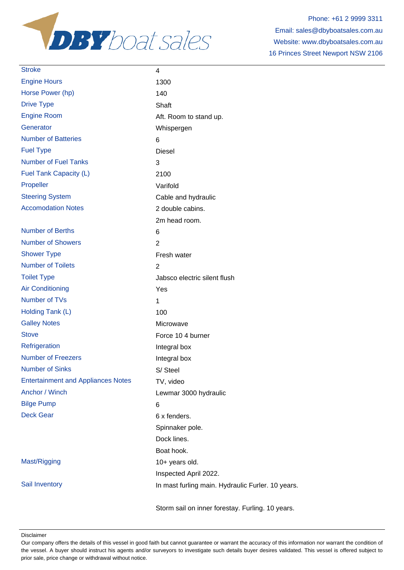

| <b>Stroke</b>                             | 4                                                 |
|-------------------------------------------|---------------------------------------------------|
| <b>Engine Hours</b>                       | 1300                                              |
| Horse Power (hp)                          | 140                                               |
| <b>Drive Type</b>                         | Shaft                                             |
| <b>Engine Room</b>                        | Aft. Room to stand up.                            |
| Generator                                 | Whispergen                                        |
| <b>Number of Batteries</b>                | 6                                                 |
| <b>Fuel Type</b>                          | <b>Diesel</b>                                     |
| <b>Number of Fuel Tanks</b>               | 3                                                 |
| Fuel Tank Capacity (L)                    | 2100                                              |
| Propeller                                 | Varifold                                          |
| <b>Steering System</b>                    | Cable and hydraulic                               |
| <b>Accomodation Notes</b>                 | 2 double cabins.                                  |
|                                           | 2m head room.                                     |
| <b>Number of Berths</b>                   | 6                                                 |
| <b>Number of Showers</b>                  | $\overline{2}$                                    |
| <b>Shower Type</b>                        | Fresh water                                       |
| <b>Number of Toilets</b>                  | $\overline{2}$                                    |
| <b>Toilet Type</b>                        | Jabsco electric silent flush                      |
| <b>Air Conditioning</b>                   | Yes                                               |
| Number of TVs                             | 1                                                 |
| Holding Tank (L)                          | 100                                               |
| <b>Galley Notes</b>                       | Microwave                                         |
| <b>Stove</b>                              | Force 10 4 burner                                 |
| Refrigeration                             | Integral box                                      |
| <b>Number of Freezers</b>                 | Integral box                                      |
| <b>Number of Sinks</b>                    | S/Steel                                           |
| <b>Entertainment and Appliances Notes</b> | TV, video                                         |
| Anchor / Winch                            | Lewmar 3000 hydraulic                             |
| <b>Bilge Pump</b>                         | 6                                                 |
| <b>Deck Gear</b>                          | 6 x fenders.                                      |
|                                           | Spinnaker pole.                                   |
|                                           | Dock lines.                                       |
|                                           | Boat hook.                                        |
| Mast/Rigging                              | 10+ years old.                                    |
|                                           | Inspected April 2022.                             |
| Sail Inventory                            | In mast furling main. Hydraulic Furler. 10 years. |
|                                           |                                                   |

Storm sail on inner forestay. Furling. 10 years.

Disclaimer

Our company offers the details of this vessel in good faith but cannot guarantee or warrant the accuracy of this information nor warrant the condition of the vessel. A buyer should instruct his agents and/or surveyors to investigate such details buyer desires validated. This vessel is offered subject to prior sale, price change or withdrawal without notice.